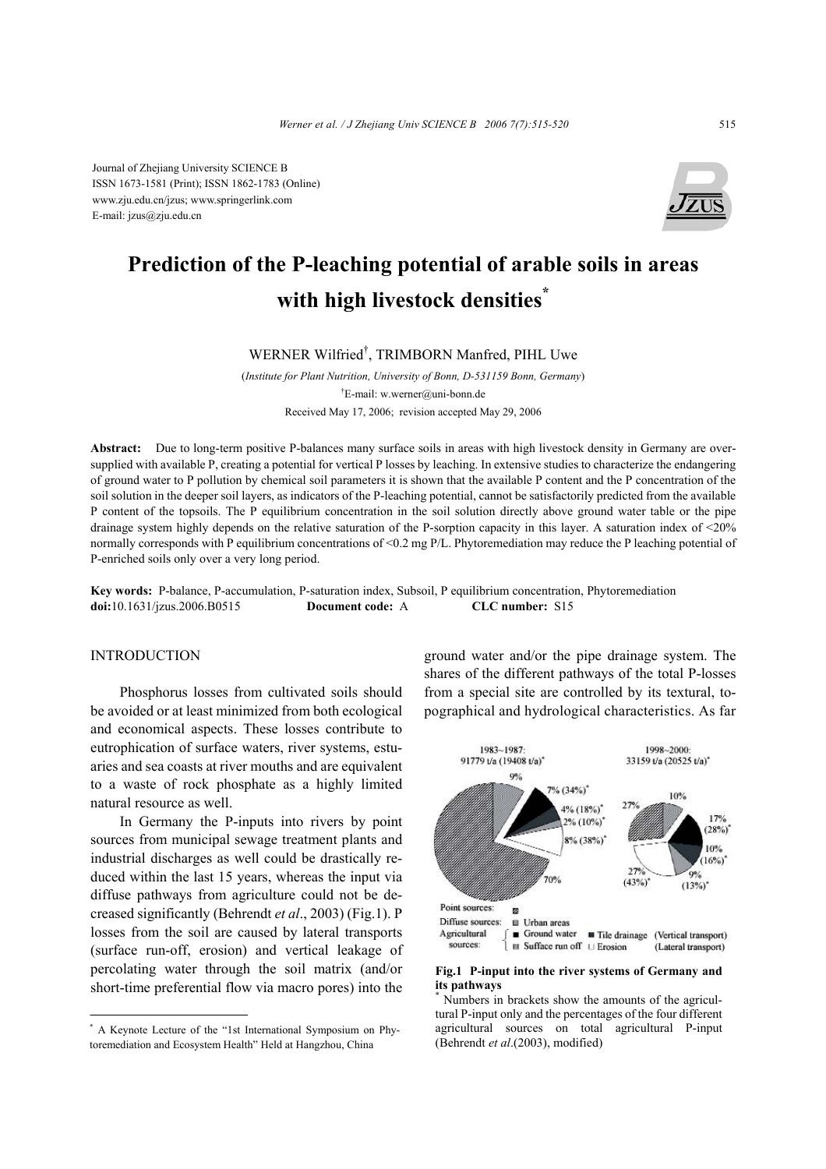Journal of Zhejiang University SCIENCE B ISSN 1673-1581 (Print); ISSN 1862-1783 (Online) www.zju.edu.cn/jzus; www.springerlink.com E-mail: jzus@zju.edu.cn



# **Prediction of the P-leaching potential of arable soils in areas with high livestock densities\***

WERNER Wilfried† , TRIMBORN Manfred, PIHL Uwe

(*Institute for Plant Nutrition, University of Bonn, D-531159 Bonn, Germany*) † E-mail: w.werner@uni-bonn.de Received May 17, 2006; revision accepted May 29, 2006

**Abstract:** Due to long-term positive P-balances many surface soils in areas with high livestock density in Germany are oversupplied with available P, creating a potential for vertical P losses by leaching. In extensive studies to characterize the endangering of ground water to P pollution by chemical soil parameters it is shown that the available P content and the P concentration of the soil solution in the deeper soil layers, as indicators of the P-leaching potential, cannot be satisfactorily predicted from the available P content of the topsoils. The P equilibrium concentration in the soil solution directly above ground water table or the pipe drainage system highly depends on the relative saturation of the P-sorption capacity in this layer. A saturation index of <20% normally corresponds with P equilibrium concentrations of <0.2 mg P/L. Phytoremediation may reduce the P leaching potential of P-enriched soils only over a very long period.

**Key words:** P-balance, P-accumulation, P-saturation index, Subsoil, P equilibrium concentration, Phytoremediation **doi:**10.1631/jzus.2006.B0515 **Document code:** A **CLC number:** S15

#### **INTRODUCTION**

Phosphorus losses from cultivated soils should be avoided or at least minimized from both ecological and economical aspects. These losses contribute to eutrophication of surface waters, river systems, estuaries and sea coasts at river mouths and are equivalent to a waste of rock phosphate as a highly limited natural resource as well.

In Germany the P-inputs into rivers by point sources from municipal sewage treatment plants and industrial discharges as well could be drastically reduced within the last 15 years, whereas the input via diffuse pathways from agriculture could not be decreased significantly (Behrendt *et al*., 2003) (Fig.1). P losses from the soil are caused by lateral transports (surface run-off, erosion) and vertical leakage of percolating water through the soil matrix (and/or short-time preferential flow via macro pores) into the

\* A Keynote Lecture of the "1st International Symposium on Phytoremediation and Ecosystem Health" Held at Hangzhou, China

ground water and/or the pipe drainage system. The shares of the different pathways of the total P-losses from a special site are controlled by its textural, topographical and hydrological characteristics. As far



#### **Fig.1 P-input into the river systems of Germany and its pathways**

\* Numbers in brackets show the amounts of the agricultural P-input only and the percentages of the four different agricultural sources on total agricultural P-input (Behrendt *et al*.(2003), modified)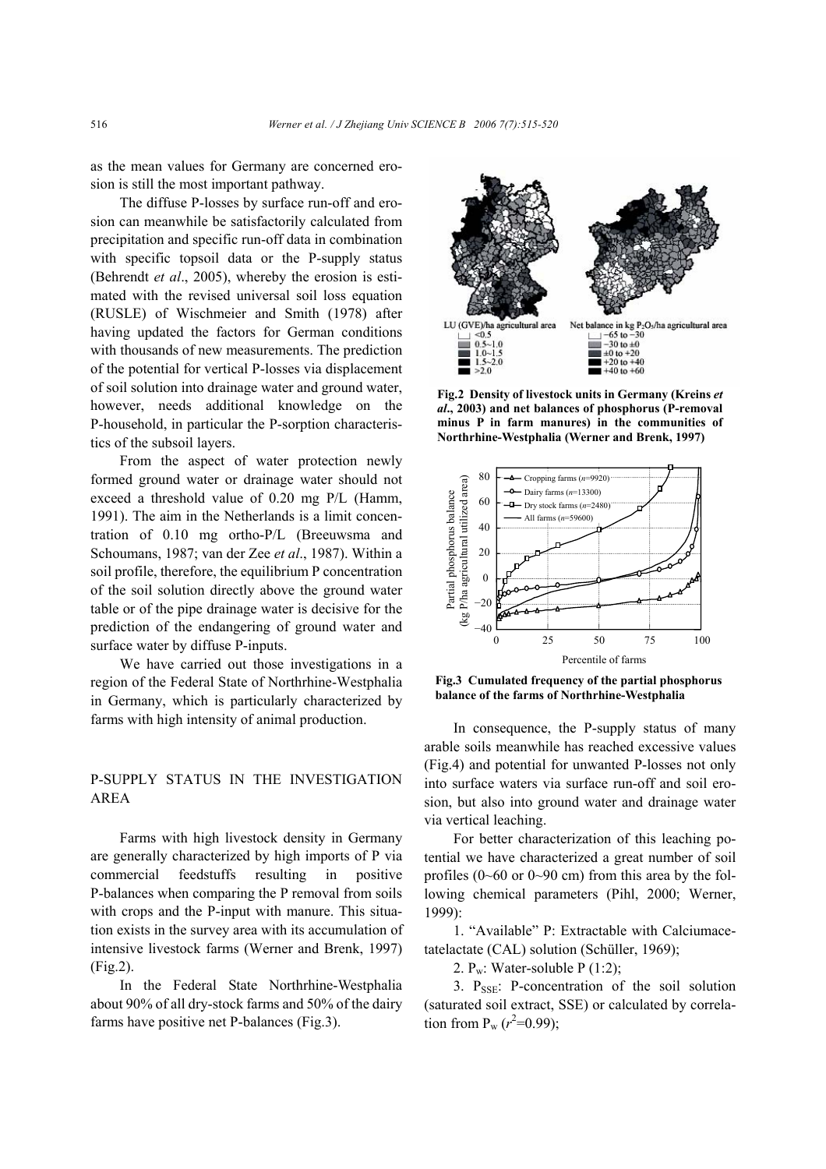as the mean values for Germany are concerned erosion is still the most important pathway.

The diffuse P-losses by surface run-off and erosion can meanwhile be satisfactorily calculated from precipitation and specific run-off data in combination with specific topsoil data or the P-supply status (Behrendt *et al*., 2005), whereby the erosion is estimated with the revised universal soil loss equation (RUSLE) of Wischmeier and Smith (1978) after having updated the factors for German conditions with thousands of new measurements. The prediction of the potential for vertical P-losses via displacement of soil solution into drainage water and ground water, however, needs additional knowledge on the P-household, in particular the P-sorption characteristics of the subsoil layers.

From the aspect of water protection newly formed ground water or drainage water should not exceed a threshold value of 0.20 mg P/L (Hamm, 1991). The aim in the Netherlands is a limit concentration of 0.10 mg ortho-P/L (Breeuwsma and Schoumans, 1987; van der Zee *et al*., 1987). Within a soil profile, therefore, the equilibrium P concentration of the soil solution directly above the ground water table or of the pipe drainage water is decisive for the prediction of the endangering of ground water and surface water by diffuse P-inputs.

We have carried out those investigations in a region of the Federal State of Northrhine-Westphalia in Germany, which is particularly characterized by farms with high intensity of animal production.

## P-SUPPLY STATUS IN THE INVESTIGATION AREA

Farms with high livestock density in Germany are generally characterized by high imports of P via commercial feedstuffs resulting in positive P-balances when comparing the P removal from soils with crops and the P-input with manure. This situation exists in the survey area with its accumulation of intensive livestock farms (Werner and Brenk, 1997) (Fig.2).

In the Federal State Northrhine-Westphalia about 90% of all dry-stock farms and 50% of the dairy farms have positive net P-balances (Fig.3).



**Fig.2 Density of livestock units in Germany (Kreins** *et al***., 2003) and net balances of phosphorus (P-removal minus P in farm manures) in the communities of Northrhine-Westphalia (Werner and Brenk, 1997)** 



**Fig.3 Cumulated frequency of the partial phosphorus balance of the farms of Northrhine-Westphalia** 

In consequence, the P-supply status of many arable soils meanwhile has reached excessive values (Fig.4) and potential for unwanted P-losses not only into surface waters via surface run-off and soil erosion, but also into ground water and drainage water via vertical leaching.

For better characterization of this leaching potential we have characterized a great number of soil profiles  $(0\neg 60$  or  $0\neg 90$  cm) from this area by the following chemical parameters (Pihl, 2000; Werner, 1999):

1. "Available" P: Extractable with Calciumacetatelactate (CAL) solution (Schüller, 1969);

2. Pw: Water-soluble P (1:2);

3.  $P_{SSE}$ : P-concentration of the soil solution (saturated soil extract, SSE) or calculated by correlation from  $P_w (r^2=0.99)$ ;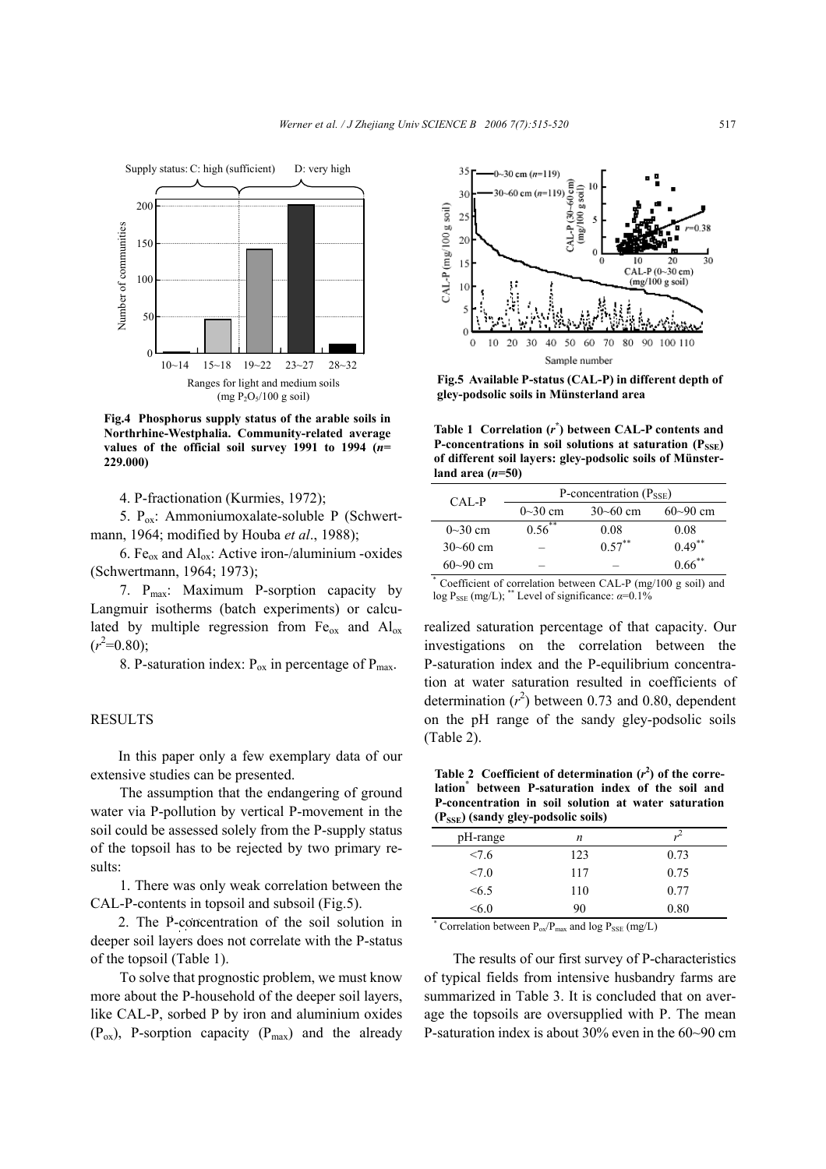

**Fig.4 Phosphorus supply status of the arable soils in Northrhine-Westphalia. Community-related average values of the official soil survey 1991 to 1994 (***n***= 229.000)** 

4. P-fractionation (Kurmies, 1972);

5.  $P_{ox}$ : Ammoniumoxalate-soluble P (Schwertmann, 1964; modified by Houba *et al*., 1988);

6. Fe<sub>ox</sub> and  $Al_{ox}$ : Active iron-/aluminium -oxides (Schwertmann, 1964; 1973);

7. P<sub>max</sub>: Maximum P-sorption capacity by Langmuir isotherms (batch experiments) or calculated by multiple regression from  $Fe<sub>ox</sub>$  and  $Al<sub>ox</sub>$  $(r^2=0.80);$ 

8. P-saturation index:  $P_{ox}$  in percentage of  $P_{max}$ .

#### RESULTS

In this paper only a few exemplary data of our extensive studies can be presented.

The assumption that the endangering of ground water via P-pollution by vertical P-movement in the soil could be assessed solely from the P-supply status of the topsoil has to be rejected by two primary results:

1. There was only weak correlation between the CAL-P-contents in topsoil and subsoil (Fig.5).

2. The P-concentration of the soil solution in deeper soil layers does not correlate with the P-status of the topsoil (Table 1).

To solve that prognostic problem, we must know more about the P-household of the deeper soil layers, like CAL-P, sorbed P by iron and aluminium oxides  $(P_{ox})$ , P-sorption capacity  $(P_{max})$  and the already



**Fig.5 Available P-status (CAL-P) in different depth of gley-podsolic soils in Münsterland area** 

**Table 1 Correlation (***r* **\* ) between CAL-P contents and P-concentrations in soil solutions at saturation (PSSE) of different soil layers: gley-podsolic soils of Münsterland area (***n***=50)** 

| CAL-P        | P-concentration $(P_{\text{SSE}})$ |                      |              |  |  |
|--------------|------------------------------------|----------------------|--------------|--|--|
|              | $0\sim30$ cm                       | $30 - 60$ cm         | $60 - 90$ cm |  |  |
| $0\sim30$ cm | $0.56^{**}$                        | 0.08                 | 0.08         |  |  |
| $30 - 60$ cm |                                    | $0.57$ <sup>**</sup> | $0.49$ **    |  |  |
| $60 - 90$ cm |                                    |                      | $0.66$ **    |  |  |

\* Coefficient of correlation between CAL-P (mg/100 g soil) and log P<sub>SSE</sub> (mg/L); \*\* Level of significance:  $\alpha=0.1\%$ 

realized saturation percentage of that capacity. Our investigations on the correlation between the P-saturation index and the P-equilibrium concentration at water saturation resulted in coefficients of determination  $(r^2)$  between 0.73 and 0.80, dependent on the pH range of the sandy gley-podsolic soils (Table 2).

Table 2 Coefficient of determination  $(r^2)$  of the corre**lation\* between P-saturation index of the soil and P-concentration in soil solution at water saturation (PSSE) (sandy gley-podsolic soils)** 

| $(2.55)$ (sanar $50$ ) pousone sons) |     |      |
|--------------------------------------|-----|------|
| pH-range                             | n   |      |
| <7.6                                 | 123 | 0.73 |
| <7.0                                 | 117 | 0.75 |
| &5.5                                 | 110 | 0.77 |
| <6.0                                 | 90  | 0.80 |

\* Correlation between  $P_{ox}/P_{max}$  and log  $P_{SSE}$  (mg/L)

The results of our first survey of P-characteristics of typical fields from intensive husbandry farms are summarized in Table 3. It is concluded that on average the topsoils are oversupplied with P. The mean P-saturation index is about 30% even in the 60~90 cm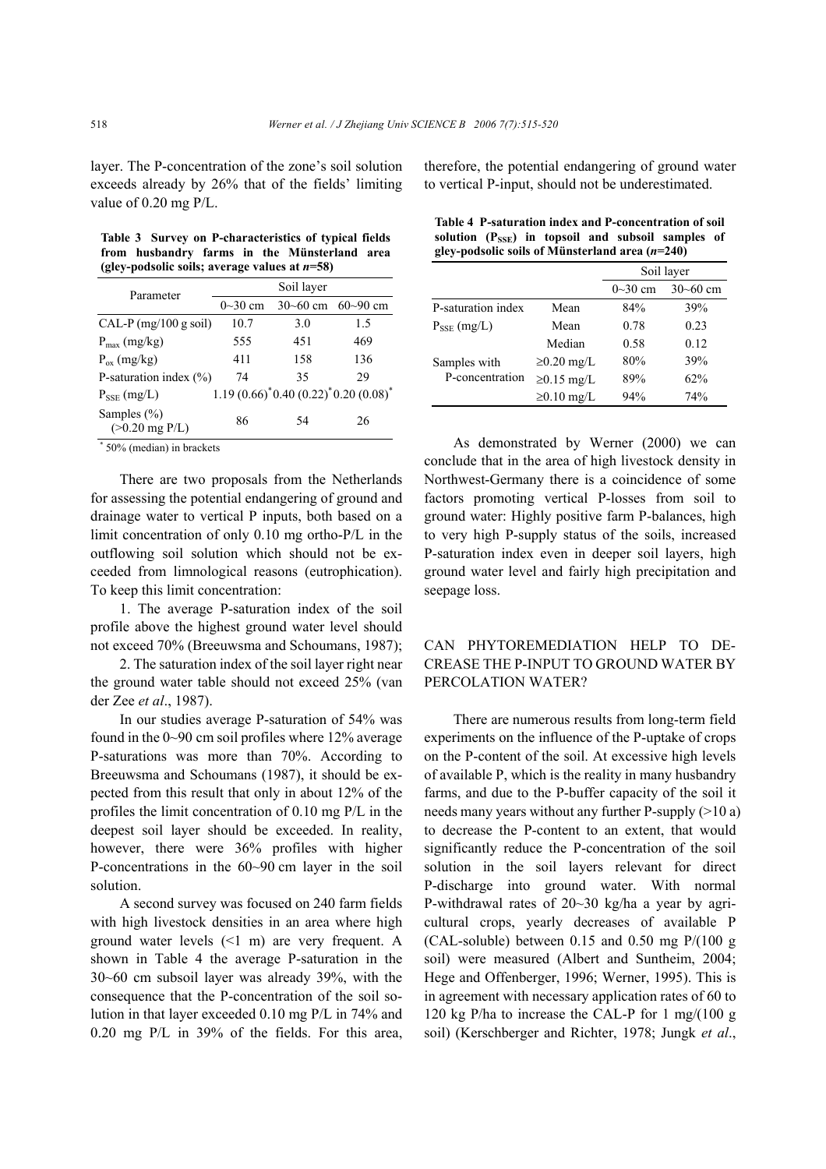layer. The P-concentration of the zone's soil solution exceeds already by 26% that of the fields' limiting value of 0.20 mg P/L.

**Table 3 Survey on P-characteristics of typical fields from husbandry farms in the Münsterland area (gley-podsolic soils; average values at** *n***=58)** 

| Parameter                           | Soil layer  |                                        |              |  |  |
|-------------------------------------|-------------|----------------------------------------|--------------|--|--|
|                                     | $0 - 30$ cm | $30 - 60$ cm                           | $60 - 90$ cm |  |  |
| $CAL-P (mg/100 g soil)$             | 10.7        | 3.0                                    | 1.5          |  |  |
| $P_{\text{max}}$ (mg/kg)            | 555         | 451                                    | 469          |  |  |
| $P_{ox}$ (mg/kg)                    | 411         | 158                                    | 136          |  |  |
| P-saturation index $(\% )$          | 74          | 35                                     | 29           |  |  |
| $P_{\rm SSE}$ (mg/L)                |             | $1.19(0.66)^*0.40(0.22)^*0.20(0.08)^*$ |              |  |  |
| Samples $(\% )$<br>$(>0.20$ mg P/L) | 86          | 54                                     | 26           |  |  |

\* 50% (median) in brackets

There are two proposals from the Netherlands for assessing the potential endangering of ground and drainage water to vertical P inputs, both based on a limit concentration of only 0.10 mg ortho-P/L in the outflowing soil solution which should not be exceeded from limnological reasons (eutrophication). To keep this limit concentration:

1. The average P-saturation index of the soil profile above the highest ground water level should not exceed 70% (Breeuwsma and Schoumans, 1987);

2. The saturation index of the soil layer right near the ground water table should not exceed 25% (van der Zee *et al*., 1987).

In our studies average P-saturation of 54% was found in the 0~90 cm soil profiles where 12% average P-saturations was more than 70%. According to Breeuwsma and Schoumans (1987), it should be expected from this result that only in about 12% of the profiles the limit concentration of 0.10 mg P/L in the deepest soil layer should be exceeded. In reality, however, there were 36% profiles with higher P-concentrations in the 60~90 cm layer in the soil solution.

A second survey was focused on 240 farm fields with high livestock densities in an area where high ground water levels (<1 m) are very frequent. A shown in Table 4 the average P-saturation in the 30~60 cm subsoil layer was already 39%, with the consequence that the P-concentration of the soil solution in that layer exceeded 0.10 mg P/L in 74% and 0.20 mg P/L in 39% of the fields. For this area, therefore, the potential endangering of ground water to vertical P-input, should not be underestimated.

|                                                   |  |  |  |  |  | Table 4 P-saturation index and P-concentration of soil        |  |
|---------------------------------------------------|--|--|--|--|--|---------------------------------------------------------------|--|
|                                                   |  |  |  |  |  | solution $(P_{\text{SSE}})$ in topsoil and subsoil samples of |  |
| gley-podsolic soils of Münsterland area $(n=240)$ |  |  |  |  |  |                                                               |  |

|                      |                  | Soil layer  |              |
|----------------------|------------------|-------------|--------------|
|                      |                  | $0 - 30$ cm | $30 - 60$ cm |
| P-saturation index   | Mean             | 84%         | 39%          |
| $P_{\rm SSE}$ (mg/L) | Mean             | 0.78        | 0.23         |
|                      | Median           | 0.58        | 0.12         |
| Samples with         | $\geq 0.20$ mg/L | 80%         | 39%          |
| P-concentration      | $\geq 0.15$ mg/L | 89%         | 62%          |
|                      | $\geq 0.10$ mg/L | 94%         | 74%          |

As demonstrated by Werner (2000) we can conclude that in the area of high livestock density in Northwest-Germany there is a coincidence of some factors promoting vertical P-losses from soil to ground water: Highly positive farm P-balances, high to very high P-supply status of the soils, increased P-saturation index even in deeper soil layers, high ground water level and fairly high precipitation and seepage loss.

## CAN PHYTOREMEDIATION HELP TO DE-CREASE THE P-INPUT TO GROUND WATER BY PERCOLATION WATER?

There are numerous results from long-term field experiments on the influence of the P-uptake of crops on the P-content of the soil. At excessive high levels of available P, which is the reality in many husbandry farms, and due to the P-buffer capacity of the soil it needs many years without any further P-supply (>10 a) to decrease the P-content to an extent, that would significantly reduce the P-concentration of the soil solution in the soil layers relevant for direct P-discharge into ground water. With normal P-withdrawal rates of 20~30 kg/ha a year by agricultural crops, yearly decreases of available P (CAL-soluble) between  $0.15$  and  $0.50$  mg  $P/(100 g)$ soil) were measured (Albert and Suntheim, 2004; Hege and Offenberger, 1996; Werner, 1995). This is in agreement with necessary application rates of 60 to 120 kg P/ha to increase the CAL-P for 1 mg/(100 g soil) (Kerschberger and Richter, 1978; Jungk *et al*.,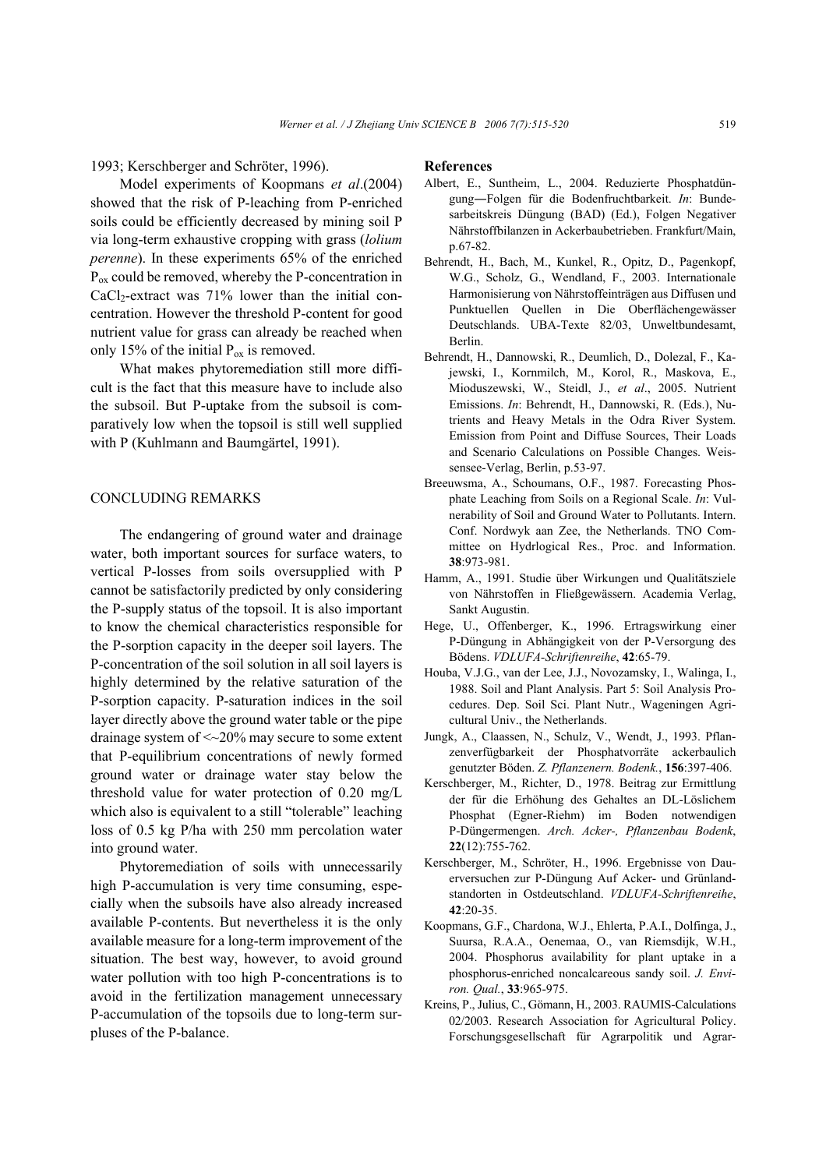1993; Kerschberger and Schröter, 1996).

Model experiments of Koopmans *et al*.(2004) showed that the risk of P-leaching from P-enriched soils could be efficiently decreased by mining soil P via long-term exhaustive cropping with grass (*lolium perenne*). In these experiments 65% of the enriched  $P_{\text{ox}}$  could be removed, whereby the P-concentration in  $CaCl<sub>2</sub>$ -extract was 71% lower than the initial concentration. However the threshold P-content for good nutrient value for grass can already be reached when only 15% of the initial  $P_{ox}$  is removed.

What makes phytoremediation still more difficult is the fact that this measure have to include also the subsoil. But P-uptake from the subsoil is comparatively low when the topsoil is still well supplied with P (Kuhlmann and Baumgärtel, 1991).

### CONCLUDING REMARKS

The endangering of ground water and drainage water, both important sources for surface waters, to vertical P-losses from soils oversupplied with P cannot be satisfactorily predicted by only considering the P-supply status of the topsoil. It is also important to know the chemical characteristics responsible for the P-sorption capacity in the deeper soil layers. The P-concentration of the soil solution in all soil layers is highly determined by the relative saturation of the P-sorption capacity. P-saturation indices in the soil layer directly above the ground water table or the pipe drainage system of <~20% may secure to some extent that P-equilibrium concentrations of newly formed ground water or drainage water stay below the threshold value for water protection of 0.20 mg/L which also is equivalent to a still "tolerable" leaching loss of 0.5 kg P/ha with 250 mm percolation water into ground water.

Phytoremediation of soils with unnecessarily high P-accumulation is very time consuming, especially when the subsoils have also already increased available P-contents. But nevertheless it is the only available measure for a long-term improvement of the situation. The best way, however, to avoid ground water pollution with too high P-concentrations is to avoid in the fertilization management unnecessary P-accumulation of the topsoils due to long-term surpluses of the P-balance.

#### **References**

- Albert, E., Suntheim, L., 2004. Reduzierte Phosphatdüngung―Folgen für die Bodenfruchtbarkeit. *In*: Bundesarbeitskreis Düngung (BAD) (Ed.), Folgen Negativer Nährstoffbilanzen in Ackerbaubetrieben. Frankfurt/Main, p.67-82.
- Behrendt, H., Bach, M., Kunkel, R., Opitz, D., Pagenkopf, W.G., Scholz, G., Wendland, F., 2003. Internationale Harmonisierung von Nährstoffeinträgen aus Diffusen und Punktuellen Quellen in Die Oberflächengewässer Deutschlands. UBA-Texte 82/03, Unweltbundesamt, Berlin.
- Behrendt, H., Dannowski, R., Deumlich, D., Dolezal, F., Kajewski, I., Kornmilch, M., Korol, R., Maskova, E., Mioduszewski, W., Steidl, J., *et al*., 2005. Nutrient Emissions. *In*: Behrendt, H., Dannowski, R. (Eds.), Nutrients and Heavy Metals in the Odra River System. Emission from Point and Diffuse Sources, Their Loads and Scenario Calculations on Possible Changes. Weissensee-Verlag, Berlin, p.53-97.
- Breeuwsma, A., Schoumans, O.F., 1987. Forecasting Phosphate Leaching from Soils on a Regional Scale. *In*: Vulnerability of Soil and Ground Water to Pollutants. Intern. Conf. Nordwyk aan Zee, the Netherlands. TNO Committee on Hydrlogical Res., Proc. and Information. **38**:973-981.
- Hamm, A., 1991. Studie über Wirkungen und Qualitätsziele von Nährstoffen in Fließgewässern. Academia Verlag, Sankt Augustin.
- Hege, U., Offenberger, K., 1996. Ertragswirkung einer P-Düngung in Abhängigkeit von der P-Versorgung des Bödens. *VDLUFA-Schriftenreihe*, **42**:65-79.
- Houba, V.J.G., van der Lee, J.J., Novozamsky, I., Walinga, I., 1988. Soil and Plant Analysis. Part 5: Soil Analysis Procedures. Dep. Soil Sci. Plant Nutr., Wageningen Agricultural Univ., the Netherlands.
- Jungk, A., Claassen, N., Schulz, V., Wendt, J., 1993. Pflanzenverfügbarkeit der Phosphatvorräte ackerbaulich genutzter Böden. *Z. Pflanzenern. Bodenk.*, **156**:397-406.
- Kerschberger, M., Richter, D., 1978. Beitrag zur Ermittlung der für die Erhöhung des Gehaltes an DL-Löslichem Phosphat (Egner-Riehm) im Boden notwendigen P-Düngermengen. *Arch. Acker-, Pflanzenbau Bodenk*, **22**(12):755-762.
- Kerschberger, M., Schröter, H., 1996. Ergebnisse von Dauerversuchen zur P-Düngung Auf Acker- und Grünlandstandorten in Ostdeutschland. *VDLUFA-Schriftenreihe*, **42**:20-35.
- Koopmans, G.F., Chardona, W.J., Ehlerta, P.A.I., Dolfinga, J., Suursa, R.A.A., Oenemaa, O., van Riemsdijk, W.H., 2004. Phosphorus availability for plant uptake in a phosphorus-enriched noncalcareous sandy soil. *J. Environ. Qual.*, **33**:965-975.
- Kreins, P., Julius, C., Gömann, H., 2003. RAUMIS-Calculations 02/2003. Research Association for Agricultural Policy. Forschungsgesellschaft für Agrarpolitik und Agrar-